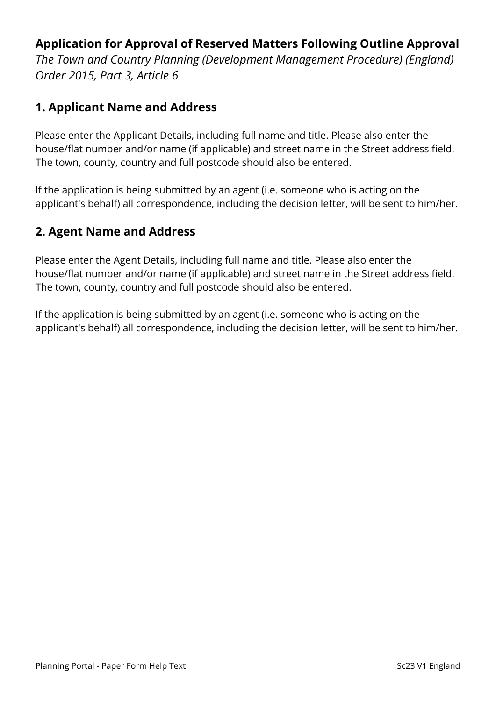## **Application for Approval of Reserved Matters Following Outline Approval**

*The Town and Country Planning (Development Management Procedure) (England) Order 2015, Part 3, Article 6*

### **1. Applicant Name and Address**

Please enter the Applicant Details, including full name and title. Please also enter the house/flat number and/or name (if applicable) and street name in the Street address field. The town, county, country and full postcode should also be entered.

If the application is being submitted by an agent (i.e. someone who is acting on the applicant's behalf) all correspondence, including the decision letter, will be sent to him/her.

# **2. Agent Name and Address**

Please enter the Agent Details, including full name and title. Please also enter the house/flat number and/or name (if applicable) and street name in the Street address field. The town, county, country and full postcode should also be entered.

If the application is being submitted by an agent (i.e. someone who is acting on the applicant's behalf) all correspondence, including the decision letter, will be sent to him/her.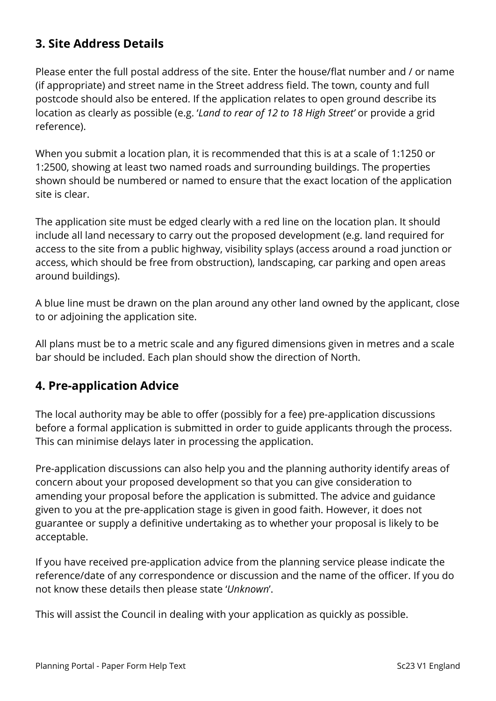# **3. Site Address Details**

Please enter the full postal address of the site. Enter the house/flat number and / or name (if appropriate) and street name in the Street address field. The town, county and full postcode should also be entered. If the application relates to open ground describe its location as clearly as possible (e.g. '*Land to rear of 12 to 18 High Street'* or provide a grid reference).

When you submit a location plan, it is recommended that this is at a scale of 1:1250 or 1:2500, showing at least two named roads and surrounding buildings. The properties shown should be numbered or named to ensure that the exact location of the application site is clear.

The application site must be edged clearly with a red line on the location plan. It should include all land necessary to carry out the proposed development (e.g. land required for access to the site from a public highway, visibility splays (access around a road junction or access, which should be free from obstruction), landscaping, car parking and open areas around buildings).

A blue line must be drawn on the plan around any other land owned by the applicant, close to or adjoining the application site.

All plans must be to a metric scale and any figured dimensions given in metres and a scale bar should be included. Each plan should show the direction of North.

### **4. Pre-application Advice**

The local authority may be able to offer (possibly for a fee) pre-application discussions before a formal application is submitted in order to guide applicants through the process. This can minimise delays later in processing the application.

Pre-application discussions can also help you and the planning authority identify areas of concern about your proposed development so that you can give consideration to amending your proposal before the application is submitted. The advice and guidance given to you at the pre-application stage is given in good faith. However, it does not guarantee or supply a definitive undertaking as to whether your proposal is likely to be acceptable.

If you have received pre-application advice from the planning service please indicate the reference/date of any correspondence or discussion and the name of the officer. If you do not know these details then please state '*Unknown*'.

This will assist the Council in dealing with your application as quickly as possible.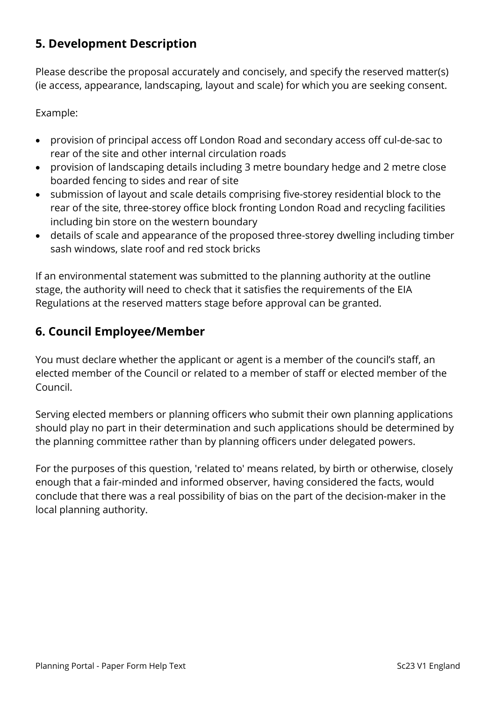# **5. Development Description**

Please describe the proposal accurately and concisely, and specify the reserved matter(s) (ie access, appearance, landscaping, layout and scale) for which you are seeking consent.

Example:

- provision of principal access off London Road and secondary access off cul-de-sac to rear of the site and other internal circulation roads
- provision of landscaping details including 3 metre boundary hedge and 2 metre close boarded fencing to sides and rear of site
- submission of layout and scale details comprising five-storey residential block to the rear of the site, three-storey office block fronting London Road and recycling facilities including bin store on the western boundary
- details of scale and appearance of the proposed three-storey dwelling including timber sash windows, slate roof and red stock bricks

If an environmental statement was submitted to the planning authority at the outline stage, the authority will need to check that it satisfies the requirements of the EIA Regulations at the reserved matters stage before approval can be granted.

### **6. Council Employee/Member**

You must declare whether the applicant or agent is a member of the council's staff, an elected member of the Council or related to a member of staff or elected member of the Council.

Serving elected members or planning officers who submit their own planning applications should play no part in their determination and such applications should be determined by the planning committee rather than by planning officers under delegated powers.

For the purposes of this question, 'related to' means related, by birth or otherwise, closely enough that a fair-minded and informed observer, having considered the facts, would conclude that there was a real possibility of bias on the part of the decision-maker in the local planning authority.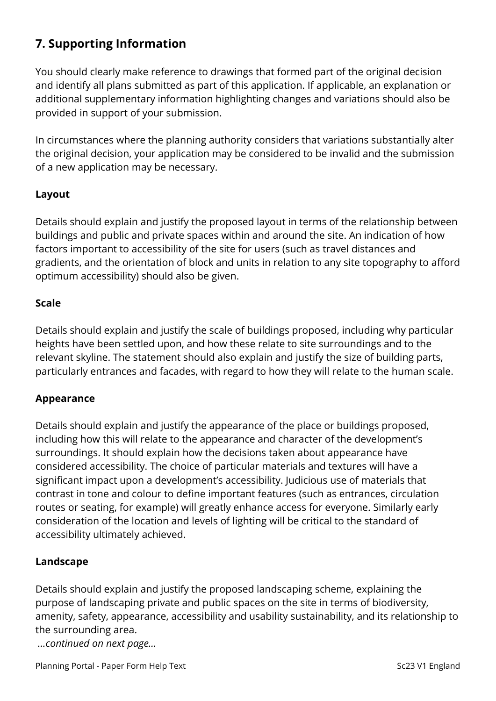# **7. Supporting Information**

You should clearly make reference to drawings that formed part of the original decision and identify all plans submitted as part of this application. If applicable, an explanation or additional supplementary information highlighting changes and variations should also be provided in support of your submission.

In circumstances where the planning authority considers that variations substantially alter the original decision, your application may be considered to be invalid and the submission of a new application may be necessary.

#### **Layout**

Details should explain and justify the proposed layout in terms of the relationship between buildings and public and private spaces within and around the site. An indication of how factors important to accessibility of the site for users (such as travel distances and gradients, and the orientation of block and units in relation to any site topography to afford optimum accessibility) should also be given.

#### **Scale**

Details should explain and justify the scale of buildings proposed, including why particular heights have been settled upon, and how these relate to site surroundings and to the relevant skyline. The statement should also explain and justify the size of building parts, particularly entrances and facades, with regard to how they will relate to the human scale.

#### **Appearance**

Details should explain and justify the appearance of the place or buildings proposed, including how this will relate to the appearance and character of the development's surroundings. It should explain how the decisions taken about appearance have considered accessibility. The choice of particular materials and textures will have a significant impact upon a development's accessibility. Judicious use of materials that contrast in tone and colour to define important features (such as entrances, circulation routes or seating, for example) will greatly enhance access for everyone. Similarly early consideration of the location and levels of lighting will be critical to the standard of accessibility ultimately achieved.

#### **Landscape**

Details should explain and justify the proposed landscaping scheme, explaining the purpose of landscaping private and public spaces on the site in terms of biodiversity, amenity, safety, appearance, accessibility and usability sustainability, and its relationship to the surrounding area.

*…continued on next page…*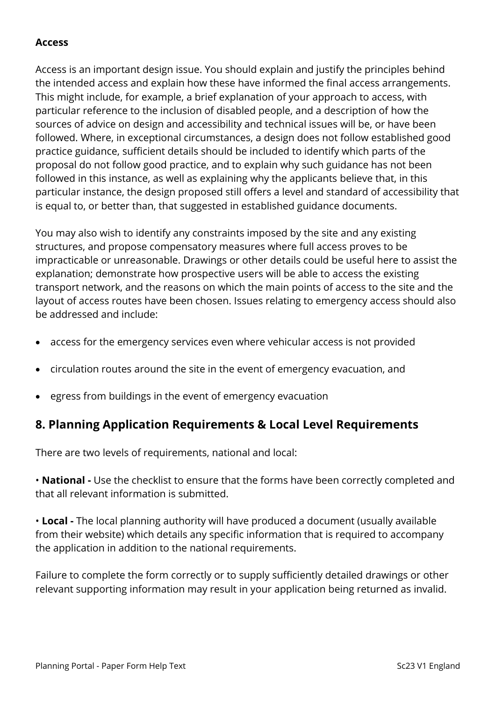#### **Access**

Access is an important design issue. You should explain and justify the principles behind the intended access and explain how these have informed the final access arrangements. This might include, for example, a brief explanation of your approach to access, with particular reference to the inclusion of disabled people, and a description of how the sources of advice on design and accessibility and technical issues will be, or have been followed. Where, in exceptional circumstances, a design does not follow established good practice guidance, sufficient details should be included to identify which parts of the proposal do not follow good practice, and to explain why such guidance has not been followed in this instance, as well as explaining why the applicants believe that, in this particular instance, the design proposed still offers a level and standard of accessibility that is equal to, or better than, that suggested in established guidance documents.

You may also wish to identify any constraints imposed by the site and any existing structures, and propose compensatory measures where full access proves to be impracticable or unreasonable. Drawings or other details could be useful here to assist the explanation; demonstrate how prospective users will be able to access the existing transport network, and the reasons on which the main points of access to the site and the layout of access routes have been chosen. Issues relating to emergency access should also be addressed and include:

- access for the emergency services even where vehicular access is not provided
- circulation routes around the site in the event of emergency evacuation, and
- egress from buildings in the event of emergency evacuation

### **8. Planning Application Requirements & Local Level Requirements**

There are two levels of requirements, national and local:

• **National -** Use the checklist to ensure that the forms have been correctly completed and that all relevant information is submitted.

• **Local -** The local planning authority will have produced a document (usually available from their website) which details any specific information that is required to accompany the application in addition to the national requirements.

Failure to complete the form correctly or to supply sufficiently detailed drawings or other relevant supporting information may result in your application being returned as invalid.